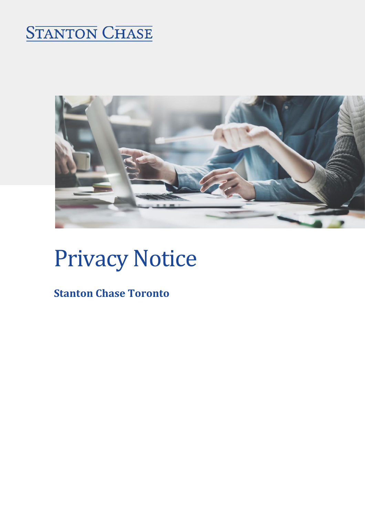

# Privacy Notice

### **Stanton Chase Toronto**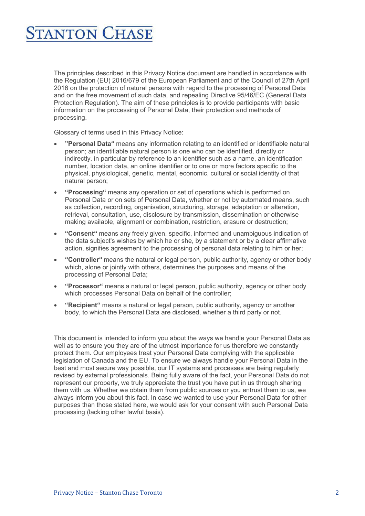The principles described in this Privacy Notice document are handled in accordance with the Regulation (EU) 2016/679 of the European Parliament and of the Council of 27th April 2016 on the protection of natural persons with regard to the processing of Personal Data and on the free movement of such data, and repealing Directive 95/46/EC (General Data Protection Regulation). The aim of these principles is to provide participants with basic information on the processing of Personal Data, their protection and methods of processing.

Glossary of terms used in this Privacy Notice:

- **"Personal Data"** means any information relating to an identified or identifiable natural person; an identifiable natural person is one who can be identified, directly or indirectly, in particular by reference to an identifier such as a name, an identification number, location data, an online identifier or to one or more factors specific to the physical, physiological, genetic, mental, economic, cultural or social identity of that natural person;
- **"Processing"** means any operation or set of operations which is performed on Personal Data or on sets of Personal Data, whether or not by automated means, such as collection, recording, organisation, structuring, storage, adaptation or alteration, retrieval, consultation, use, disclosure by transmission, dissemination or otherwise making available, alignment or combination, restriction, erasure or destruction;
- **"Consent"** means any freely given, specific, informed and unambiguous indication of the data subject's wishes by which he or she, by a statement or by a clear affirmative action, signifies agreement to the processing of personal data relating to him or her;
- **"Controller"** means the natural or legal person, public authority, agency or other body which, alone or jointly with others, determines the purposes and means of the processing of Personal Data;
- **"Processor"** means a natural or legal person, public authority, agency or other body which processes Personal Data on behalf of the controller;
- **"Recipient"** means a natural or legal person, public authority, agency or another body, to which the Personal Data are disclosed, whether a third party or not.

This document is intended to inform you about the ways we handle your Personal Data as well as to ensure you they are of the utmost importance for us therefore we constantly protect them. Our employees treat your Personal Data complying with the applicable legislation of Canada and the EU. To ensure we always handle your Personal Data in the best and most secure way possible, our IT systems and processes are being regularly revised by external professionals. Being fully aware of the fact, your Personal Data do not represent our property, we truly appreciate the trust you have put in us through sharing them with us. Whether we obtain them from public sources or you entrust them to us, we always inform you about this fact. In case we wanted to use your Personal Data for other purposes than those stated here, we would ask for your consent with such Personal Data processing (lacking other lawful basis).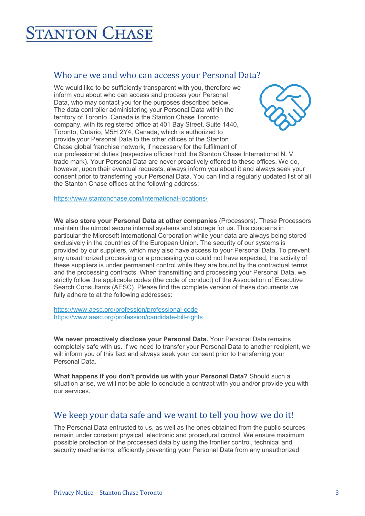#### Who are we and who can access your Personal Data?

We would like to be sufficiently transparent with you, therefore we inform you about who can access and process your Personal Data, who may contact you for the purposes described below. The data controller administering your Personal Data within the territory of Toronto, Canada is the Stanton Chase Toronto company, with its registered office at 401 Bay Street, Suite 1440, Toronto, Ontario, M5H 2Y4, Canada, which is authorized to provide your Personal Data to the other offices of the Stanton Chase global franchise network, if necessary for the fulfilment of our professional duties (respective offices hold the Stanton Chase International N. V. trade mark). Your Personal Data are never proactively offered to these offices. We do, however, upon their eventual requests, always inform you about it and always seek your consent prior to transferring your Personal Data. You can find a regularly updated list of all the Stanton Chase offices at the following address:

<https://www.stantonchase.com/international-locations/>

**We also store your Personal Data at other companies** (Processors). These Processors maintain the utmost secure internal systems and storage for us. This concerns in particular the Microsoft International Corporation while your data are always being stored exclusively in the countries of the European Union. The security of our systems is provided by our suppliers, which may also have access to your Personal Data. To prevent any unauthorized processing or a processing you could not have expected, the activity of these suppliers is under permanent control while they are bound by the contractual terms and the processing contracts. When transmitting and processing your Personal Data, we strictly follow the applicable codes (the code of conduct) of the Association of Executive Search Consultants (AESC). Please find the complete version of these documents we fully adhere to at the following addresses:

<https://www.aesc.org/profession/professional-code> <https://www.aesc.org/profession/candidate-bill-rights>

**We never proactively disclose your Personal Data.** Your Personal Data remains completely safe with us. If we need to transfer your Personal Data to another recipient, we will inform you of this fact and always seek your consent prior to transferring your Personal Data.

**What happens if you don't provide us with your Personal Data?** Should such a situation arise, we will not be able to conclude a contract with you and/or provide you with our services.

### We keep your data safe and we want to tell you how we do it!

The Personal Data entrusted to us, as well as the ones obtained from the public sources remain under constant physical, electronic and procedural control. We ensure maximum possible protection of the processed data by using the frontier control, technical and security mechanisms, efficiently preventing your Personal Data from any unauthorized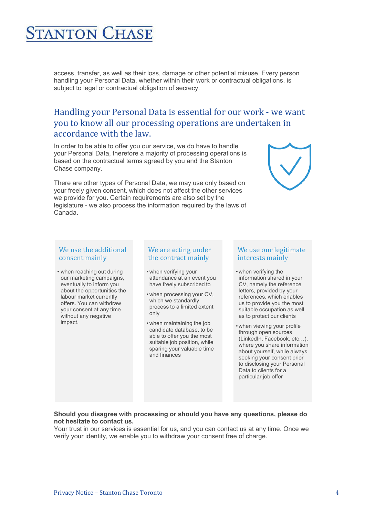access, transfer, as well as their loss, damage or other potential misuse. Every person handling your Personal Data, whether within their work or contractual obligations, is subject to legal or contractual obligation of secrecy.

### Handling your Personal Data is essential for our work - we want you to know all our processing operations are undertaken in accordance with the law.

In order to be able to offer you our service, we do have to handle your Personal Data, therefore a majority of processing operations is based on the contractual terms agreed by you and the Stanton Chase company.

There are other types of Personal Data, we may use only based on your freely given consent, which does not affect the other services we provide for you. Certain requirements are also set by the legislature - we also process the information required by the laws of Canada.



#### We use the additional consent mainly

• when reaching out during our marketing campaigns, eventually to inform you about the opportunities the labour market currently offers. You can withdraw your consent at any time without any negative impact.

#### We are acting under the contract mainly

- when verifying your attendance at an event you have freely subscribed to
- when processing your CV, which we standardly process to a limited extent only
- when maintaining the job candidate database, to be able to offer you the most suitable job position, while sparing your valuable time and finances

#### We use our legitimate interests mainly

- when verifying the information shared in your CV, namely the reference letters, provided by your references, which enables us to provide you the most suitable occupation as well as to protect our clients
- when viewing your profile through open sources (LinkedIn, Facebook, etc…), where you share information about yourself, while always seeking your consent prior to disclosing your Personal Data to clients for a particular job offer

#### **Should you disagree with processing or should you have any questions, please do not hesitate to contact us.**

Your trust in our services is essential for us, and you can contact us at any time. Once we verify your identity, we enable you to withdraw your consent free of charge.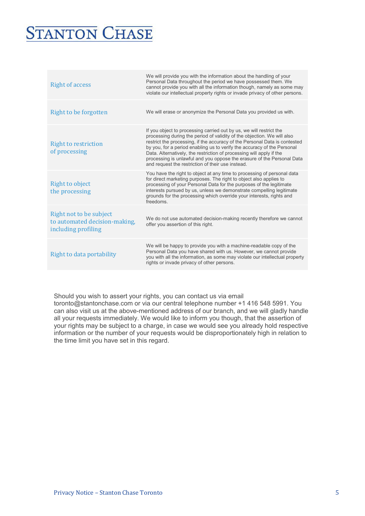| <b>Right of access</b>                                                          | We will provide you with the information about the handling of your<br>Personal Data throughout the period we have possessed them. We<br>cannot provide you with all the information though, namely as some may<br>violate our intellectual property rights or invade privacy of other persons.                                                                                                                                                                                                                |
|---------------------------------------------------------------------------------|----------------------------------------------------------------------------------------------------------------------------------------------------------------------------------------------------------------------------------------------------------------------------------------------------------------------------------------------------------------------------------------------------------------------------------------------------------------------------------------------------------------|
| Right to be forgotten                                                           | We will erase or anonymize the Personal Data you provided us with.                                                                                                                                                                                                                                                                                                                                                                                                                                             |
| <b>Right to restriction</b><br>of processing                                    | If you object to processing carried out by us, we will restrict the<br>processing during the period of validity of the objection. We will also<br>restrict the processing, if the accuracy of the Personal Data is contested<br>by you, for a period enabling us to verify the accuracy of the Personal<br>Data. Alternatively, the restriction of processing will apply if the<br>processing is unlawful and you oppose the erasure of the Personal Data<br>and request the restriction of their use instead. |
| Right to object<br>the processing                                               | You have the right to object at any time to processing of personal data<br>for direct marketing purposes. The right to object also applies to<br>processing of your Personal Data for the purposes of the legitimate<br>interests pursued by us, unless we demonstrate compelling legitimate<br>grounds for the processing which override your interests, rights and<br>freedoms.                                                                                                                              |
| Right not to be subject<br>to automated decision-making,<br>including profiling | We do not use automated decision-making recently therefore we cannot<br>offer you assertion of this right.                                                                                                                                                                                                                                                                                                                                                                                                     |
| Right to data portability                                                       | We will be happy to provide you with a machine-readable copy of the<br>Personal Data you have shared with us. However, we cannot provide<br>you with all the information, as some may violate our intellectual property<br>rights or invade privacy of other persons.                                                                                                                                                                                                                                          |

Should you wish to assert your rights, you can contact us via email

toronto@stantonchase.com or via our central telephone number +1 416 548 5991. You can also visit us at the above-mentioned address of our branch, and we will gladly handle all your requests immediately. We would like to inform you though, that the assertion of your rights may be subject to a charge, in case we would see you already hold respective information or the number of your requests would be disproportionately high in relation to the time limit you have set in this regard.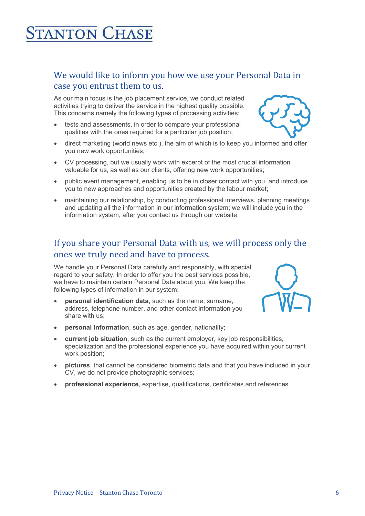### We would like to inform you how we use your Personal Data in case you entrust them to us.

As our main focus is the job placement service, we conduct related activities trying to deliver the service in the highest quality possible. This concerns namely the following types of processing activities:

- tests and assessments, in order to compare your professional qualities with the ones required for a particular job position;
- direct marketing (world news etc.), the aim of which is to keep you informed and offer you new work opportunities;
- CV processing, but we usually work with excerpt of the most crucial information valuable for us, as well as our clients, offering new work opportunities;
- public event management, enabling us to be in closer contact with you, and introduce you to new approaches and opportunities created by the labour market;
- maintaining our relationship, by conducting professional interviews, planning meetings and updating all the information in our information system; we will include you in the information system, after you contact us through our website.

### If you share your Personal Data with us, we will process only the ones we truly need and have to process.

We handle your Personal Data carefully and responsibly, with special regard to your safety. In order to offer you the best services possible, we have to maintain certain Personal Data about you. We keep the following types of information in our system:

- **personal identification data**, such as the name, surname, address, telephone number, and other contact information you share with us;
- **personal information**, such as age, gender, nationality;
- **current job situation**, such as the current employer, key job responsibilities, specialization and the professional experience you have acquired within your current work position;
- **pictures**, that cannot be considered biometric data and that you have included in your CV, we do not provide photographic services;
- **professional experience**, expertise, qualifications, certificates and references.



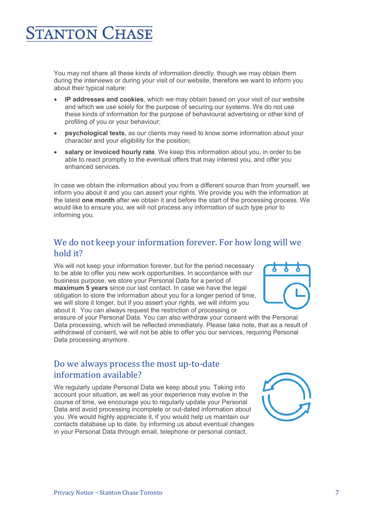You may not share all these kinds of information directly, though we may obtain them during the interviews or during your visit of our website, therefore we want to inform you about their typical nature:

- **IP addresses and cookies**, which we may obtain based on your visit of our website and which we use solely for the purpose of securing our systems. We do not use these kinds of information for the purpose of behavioural advertising or other kind of profiling of you or your behaviour;
- **psychological tests**, as our clients may need to know some information about your character and your eligibility for the position;
- **salary or invoiced hourly rate**. We keep this information about you, in order to be able to react promptly to the eventual offers that may interest you, and offer you enhanced services.

In case we obtain the information about you from a different source than from yourself, we inform you about it and you can assert your rights. We provide you with the information at the latest **one month** after we obtain it and before the start of the processing process. We would like to ensure you, we will not process any information of such type prior to informing you.

### We do not keep your information forever. For how long will we hold it?

We will not keep your information forever, but for the period necessary to be able to offer you new work opportunities. In accordance with our business purpose, we store your Personal Data for a period of **maximum 5 years** since our last contact. In case we have the legal obligation to store the information about you for a longer period of time, we will store it longer, but if you assert your rights, we will inform you about it. You can always request the restriction of processing or



erasure of your Personal Data. You can also withdraw your consent with the Personal Data processing, which will be reflected immediately. Please take note, that as a result of withdrawal of consent, we will not be able to offer you our services, requiring Personal Data processing anymore.

### Do we always process the most up-to-date information available?

We regularly update Personal Data we keep about you. Taking into account your situation, as well as your experience may evolve in the course of time, we encourage you to regularly update your Personal Data and avoid processing incomplete or out-dated information about you. We would highly appreciate it, if you would help us maintain our contacts database up to date, by informing us about eventual changes in your Personal Data through email, telephone or personal contact.

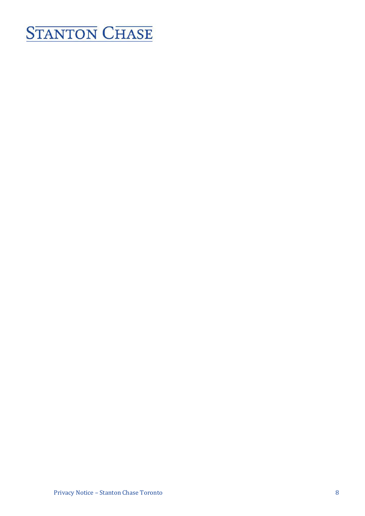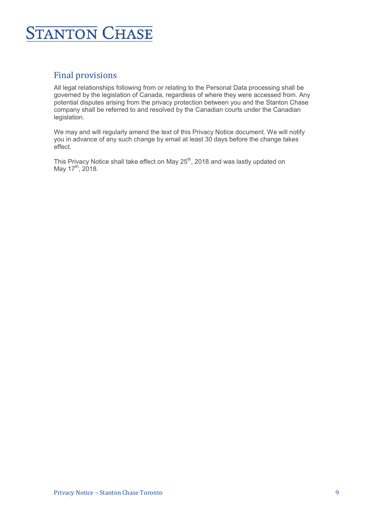#### Final provisions

All legal relationships following from or relating to the Personal Data processing shall be governed by the legislation of Canada, regardless of where they were accessed from. Any potential disputes arising from the privacy protection between you and the Stanton Chase company shall be referred to and resolved by the Canadian courts under the Canadian legislation.

We may and will regularly amend the text of this Privacy Notice document. We will notify you in advance of any such change by email at least 30 days before the change takes effect.

This Privacy Notice shall take effect on May 25<sup>th</sup>, 2018 and was lastly updated on May 17<sup>th</sup>, 2018.